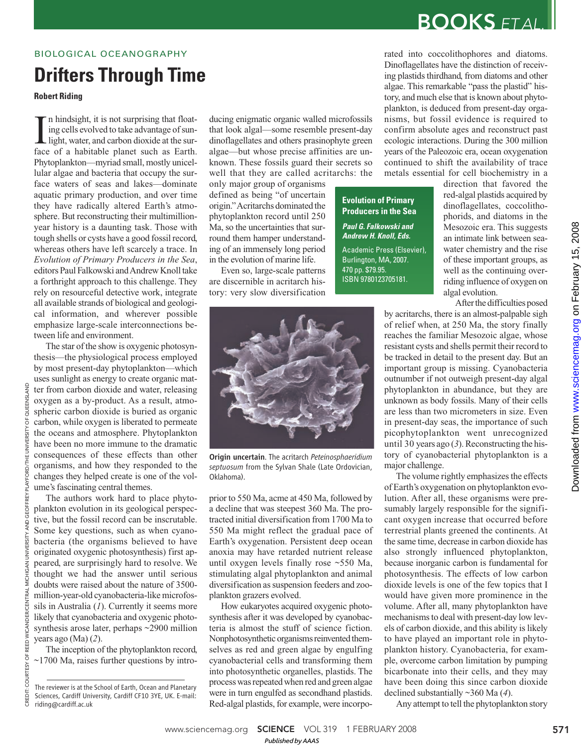### BIOLOGICAL OCEANOGRAPHY

# **Drifters Through Time**

**Robert Riding**

In hindsight, it is not surprising that floating cells evolved to take advantage of sun-<br>light, water, and carbon dioxide at the sur-<br>face of a habitable planet such as Earth. n hindsight, it is not surprising that floating cells evolved to take advantage of sunlight, water, and carbon dioxide at the sur-Phytoplankton—myriad small, mostly unicellular algae and bacteria that occupy the surface waters of seas and lakes—dominate aquatic primary production, and over time they have radically altered Earth's atmosphere. But reconstructing their multimillionyear history is a daunting task. Those with tough shells or cysts have a good fossil record, whereas others have left scarcely a trace. In *Evolution of Primary Producers in the Sea*, editors Paul Falkowski and Andrew Knoll take a forthright approach to this challenge. They rely on resourceful detective work, integrate all available strands of biological and geological information, and wherever possible emphasize large-scale interconnections between life and environment.

The star of the show is oxygenic photosynthesis—the physiological process employed by most present-day phytoplankton—which uses sunlight as energy to create organic matter from carbon dioxide and water, releasing oxygen as a by-product. As a result, atmospheric carbon dioxide is buried as organic carbon, while oxygen is liberated to permeate the oceans and atmosphere. Phytoplankton have been no more immune to the dramatic consequences of these effects than other organisms, and how they responded to the changes they helped create is one of the volume's fascinating central themes.

The authors work hard to place phytoplankton evolution in its geological perspective, but the fossil record can be inscrutable. Some key questions, such as when cyanobacteria (the organisms believed to have originated oxygenic photosynthesis) first appeared, are surprisingly hard to resolve. We thought we had the answer until serious doubts were raised about the nature of 3500 million-year-old cyanobacteria-like microfossils in Australia (*1*). Currently it seems more likely that cyanobacteria and oxygenic photosynthesis arose later, perhaps ~2900 million years ago (Ma) (*2*).

CREDIT: COURTESY OF REED WICANDER/CENTRAL MICHIGAN UNIVERSITY AND GEOFFREY PLAYFORD/THE UNIVERSITY OF QUEENSLAND

HIGAN

**TRAI** 

*JICANDER/CEN* 

REED ŏ

COURTE

QUEENSLAND

JNIVERSITY OF

**FORD/THE** 

**PROBE** AND.

> The inception of the phytoplankton record, ~1700 Ma, raises further questions by intro-

ducing enigmatic organic walled microfossils that look algal—some resemble present-day dinoflagellates and others prasinophyte green algae—but whose precise affinities are unknown. These fossils guard their secrets so well that they are called acritarchs: the

only major group of organisms defined as being "of uncertain origin." Acritarchs dominated the phytoplankton record until 250 Ma, so the uncertainties that surround them hamper understanding of an immensely long period in the evolution of marine life.

Even so, large-scale patterns are discernible in acritarch history: very slow diversification rated into coccolithophores and diatoms. Dinoflagellates have the distinction of receiving plastids thirdhand, from diatoms and other algae. This remarkable "pass the plastid" history, and much else that is known about phytoplankton, is deduced from present-day organisms, but fossil evidence is required to confirm absolute ages and reconstruct past ecologic interactions. During the 300 million years of the Paleozoic era, ocean oxygenation continued to shift the availability of trace metals essential for cell biochemistry in a

**BOOKS** ET AL.

**Evolution of Primary Producers in the Sea Paul G. Falkowski and Andrew H. Knoll, Eds.** Academic Press (Elsevier), Burlington, MA, 2007. 470 pp. \$79.95. ISBN 9780123705181.

direction that favored the red-algal plastids acquired by dinoflagellates, coccolithophorids, and diatoms in the Mesozoic era. This suggests an intimate link between seawater chemistry and the rise of these important groups, as well as the continuing overriding influence of oxygen on algal evolution.

After the difficulties posed by acritarchs, there is an almost-palpable sigh of relief when, at 250 Ma, the story finally reaches the familiar Mesozoic algae, whose resistant cysts and shells permit their record to be tracked in detail to the present day. But an important group is missing. Cyanobacteria outnumber if not outweigh present-day algal phytoplankton in abundance, but they are unknown as body fossils. Many of their cells are less than two micrometers in size. Even in present-day seas, the importance of such picophytoplankton went unrecognized until 30 years ago (*3*). Reconstructing the history of cyanobacterial phytoplankton is a major challenge.

The volume rightly emphasizes the effects of Earth's oxygenation on phytoplankton evolution. After all, these organisms were presumably largely responsible for the significant oxygen increase that occurred before terrestrial plants greened the continents. At the same time, decrease in carbon dioxide has also strongly influenced phytoplankton, because inorganic carbon is fundamental for photosynthesis. The effects of low carbon dioxide levels is one of the few topics that I would have given more prominence in the volume. After all, many phytoplankton have mechanisms to deal with present-day low levels of carbon dioxide, and this ability is likely to have played an important role in phytoplankton history. Cyanobacteria, for example, overcome carbon limitation by pumping bicarbonate into their cells, and they may have been doing this since carbon dioxide declined substantially ~360 Ma (*4*).

Any attempt to tell the phytoplankton story



Origin uncertain. The acritarch *Peteinosphaeridium septuosum* from the Sylvan Shale (Late Ordovician, Oklahoma).

prior to 550 Ma, acme at 450 Ma, followed by a decline that was steepest 360 Ma. The protracted initial diversification from 1700 Ma to 550 Ma might reflect the gradual pace of Earth's oxygenation. Persistent deep ocean anoxia may have retarded nutrient release until oxygen levels finally rose ~550 Ma, stimulating algal phytoplankton and animal diversification as suspension feeders and zooplankton grazers evolved.

How eukaryotes acquired oxygenic photosynthesis after it was developed by cyanobacteria is almost the stuff of science fiction. Nonphotosynthetic organisms reinvented themselves as red and green algae by engulfing cyanobacterial cells and transforming them into photosynthetic organelles, plastids. The process was repeated when red and green algae were in turn engulfed as secondhand plastids. Red-algal plastids, for example, were incorpo-

The reviewer is at the School of Earth, Ocean and Planetary Sciences, Cardiff University, Cardiff CF10 3YE, UK. E-mail: riding@cardiff.ac.uk